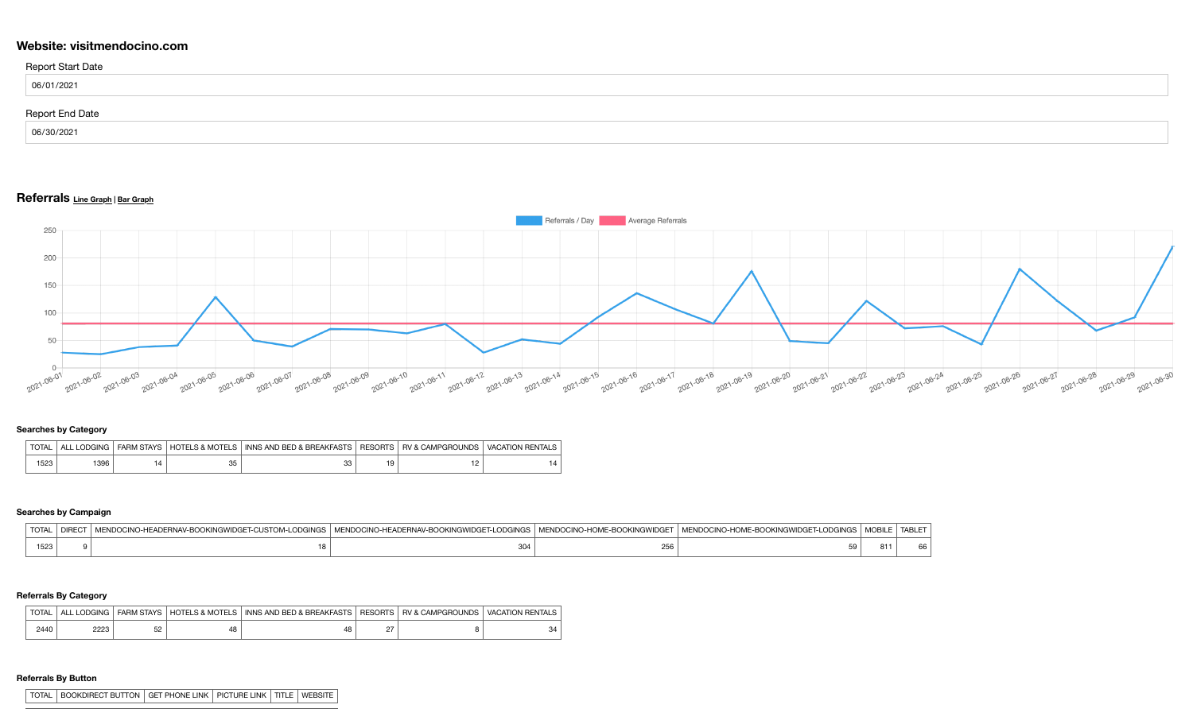# **Website: visitmendocino.com**

| <b>Report Start Date</b> |  |
|--------------------------|--|
| 06/01/2021               |  |
| <b>Report End Date</b>   |  |
| 06/30/2021               |  |

# **Referrals Line Graph <sup>|</sup> Bar Graph**



#### **Searches by Category**

| <b>TOTAL</b> | ' ODGING<br>AI I | <b>FARM STAYS</b> | <b>HOTELS &amp; MOTELS</b> | I INNS AND BED & BREAKFASTS | <b>RESORTS</b> | <b>RV &amp; CAMPGROUNDS</b> | VACATION RENTALS |
|--------------|------------------|-------------------|----------------------------|-----------------------------|----------------|-----------------------------|------------------|
| 523          | 396              |                   | ںں                         |                             |                |                             |                  |

## **Searches by Campaign**

| $T$ $T$<br><b>IUIA'</b> | )CINO-HEADE<br>הכיצונו<br>. | . KIIWHA N<br>-NDO 30 31 NO 3-1<br>ODGINGS<br>"" ERIVAY-BUL | $\cdots$<br>E-BOOKINGWIDG | na⊫r<br>-LUURINGS<br>гмы далм <i>т</i> − | $^{\circ}$ $\sim$ $\sim$<br>יום | ABI |
|-------------------------|-----------------------------|-------------------------------------------------------------|---------------------------|------------------------------------------|---------------------------------|-----|
| 1523                    |                             | ັ∪∪∸                                                        | 35 C<br>256               | 50<br>ິ                                  | וס                              |     |

### **Referrals By Category**

| <b>TOTAL</b> | ODGING<br>ΔI | <b>FARM STAYS</b> | <b>HOTELS &amp; MOTELS</b> | INNS AND BED & BREAKFASTS | <b>RESORTS</b> | <b>RV &amp; CAMPGROUNDS</b> | <b>VACATION</b><br>I RENTALS |
|--------------|--------------|-------------------|----------------------------|---------------------------|----------------|-----------------------------|------------------------------|
| 2440         | 2223         | につ<br>ےں          | 48                         | ⊿ צ                       | -              |                             | -34                          |

#### **Referrals By Button**

| TOTAL | BOOKDIRECT BUTTON | GET PHONE LINK | PICTURE LINK | TITLE | WEBSITE